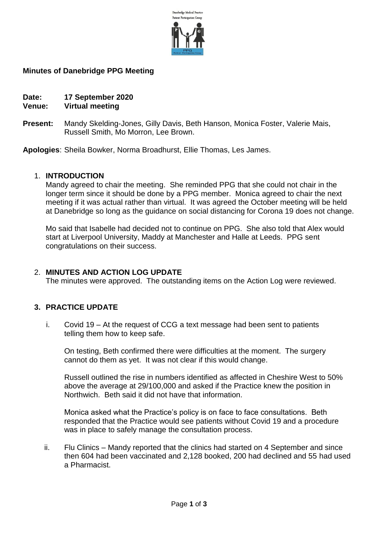

#### **Minutes of Danebridge PPG Meeting**

**Date: 17 September 2020**

# **Venue: Virtual meeting**

**Present:** Mandy Skelding-Jones, Gilly Davis, Beth Hanson, Monica Foster, Valerie Mais, Russell Smith, Mo Morron, Lee Brown.

**Apologies**: Sheila Bowker, Norma Broadhurst, Ellie Thomas, Les James.

#### 1. **INTRODUCTION**

Mandy agreed to chair the meeting. She reminded PPG that she could not chair in the longer term since it should be done by a PPG member. Monica agreed to chair the next meeting if it was actual rather than virtual. It was agreed the October meeting will be held at Danebridge so long as the guidance on social distancing for Corona 19 does not change.

Mo said that Isabelle had decided not to continue on PPG. She also told that Alex would start at Liverpool University, Maddy at Manchester and Halle at Leeds. PPG sent congratulations on their success.

# 2. **MINUTES AND ACTION LOG UPDATE**

The minutes were approved. The outstanding items on the Action Log were reviewed.

# **3. PRACTICE UPDATE**

i. Covid 19 – At the request of CCG a text message had been sent to patients telling them how to keep safe.

On testing, Beth confirmed there were difficulties at the moment. The surgery cannot do them as yet. It was not clear if this would change.

Russell outlined the rise in numbers identified as affected in Cheshire West to 50% above the average at 29/100,000 and asked if the Practice knew the position in Northwich. Beth said it did not have that information.

Monica asked what the Practice's policy is on face to face consultations. Beth responded that the Practice would see patients without Covid 19 and a procedure was in place to safely manage the consultation process.

ii. Flu Clinics – Mandy reported that the clinics had started on 4 September and since then 604 had been vaccinated and 2,128 booked, 200 had declined and 55 had used a Pharmacist.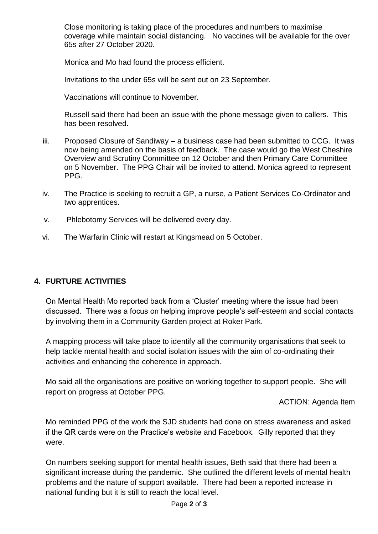Close monitoring is taking place of the procedures and numbers to maximise coverage while maintain social distancing. No vaccines will be available for the over 65s after 27 October 2020.

Monica and Mo had found the process efficient.

Invitations to the under 65s will be sent out on 23 September.

Vaccinations will continue to November.

Russell said there had been an issue with the phone message given to callers. This has been resolved.

- iii. Proposed Closure of Sandiway a business case had been submitted to CCG. It was now being amended on the basis of feedback. The case would go the West Cheshire Overview and Scrutiny Committee on 12 October and then Primary Care Committee on 5 November. The PPG Chair will be invited to attend. Monica agreed to represent PPG.
- iv. The Practice is seeking to recruit a GP, a nurse, a Patient Services Co-Ordinator and two apprentices.
- v. Phlebotomy Services will be delivered every day.
- vi. The Warfarin Clinic will restart at Kingsmead on 5 October.

# **4. FURTURE ACTIVITIES**

On Mental Health Mo reported back from a 'Cluster' meeting where the issue had been discussed. There was a focus on helping improve people's self-esteem and social contacts by involving them in a Community Garden project at Roker Park.

A mapping process will take place to identify all the community organisations that seek to help tackle mental health and social isolation issues with the aim of co-ordinating their activities and enhancing the coherence in approach.

Mo said all the organisations are positive on working together to support people. She will report on progress at October PPG.

ACTION: Agenda Item

Mo reminded PPG of the work the SJD students had done on stress awareness and asked if the QR cards were on the Practice's website and Facebook. Gilly reported that they were.

On numbers seeking support for mental health issues, Beth said that there had been a significant increase during the pandemic. She outlined the different levels of mental health problems and the nature of support available. There had been a reported increase in national funding but it is still to reach the local level.